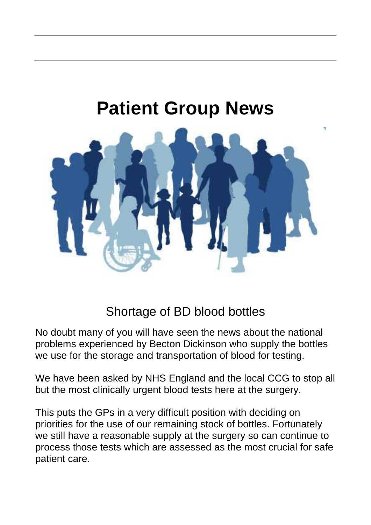## **Patient Group News**



## Shortage of BD blood bottles

No doubt many of you will have seen the news about the national problems experienced by Becton Dickinson who supply the bottles we use for the storage and transportation of blood for testing.

We have been asked by NHS England and the local CCG to stop all but the most clinically urgent blood tests here at the surgery.

This puts the GPs in a very difficult position with deciding on priorities for the use of our remaining stock of bottles. Fortunately we still have a reasonable supply at the surgery so can continue to process those tests which are assessed as the most crucial for safe patient care.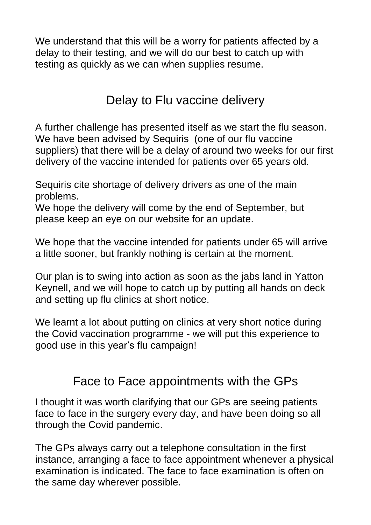We understand that this will be a worry for patients affected by a delay to their testing, and we will do our best to catch up with testing as quickly as we can when supplies resume.

## Delay to Flu vaccine delivery

A further challenge has presented itself as we start the flu season. We have been advised by Sequiris (one of our flu vaccine suppliers) that there will be a delay of around two weeks for our first delivery of the vaccine intended for patients over 65 years old.

Sequiris cite shortage of delivery drivers as one of the main problems.

We hope the delivery will come by the end of September, but please keep an eye on our website for an update.

We hope that the vaccine intended for patients under 65 will arrive a little sooner, but frankly nothing is certain at the moment.

Our plan is to swing into action as soon as the jabs land in Yatton Keynell, and we will hope to catch up by putting all hands on deck and setting up flu clinics at short notice.

We learnt a lot about putting on clinics at very short notice during the Covid vaccination programme - we will put this experience to good use in this year's flu campaign!

## Face to Face appointments with the GPs

I thought it was worth clarifying that our GPs are seeing patients face to face in the surgery every day, and have been doing so all through the Covid pandemic.

The GPs always carry out a telephone consultation in the first instance, arranging a face to face appointment whenever a physical examination is indicated. The face to face examination is often on the same day wherever possible.